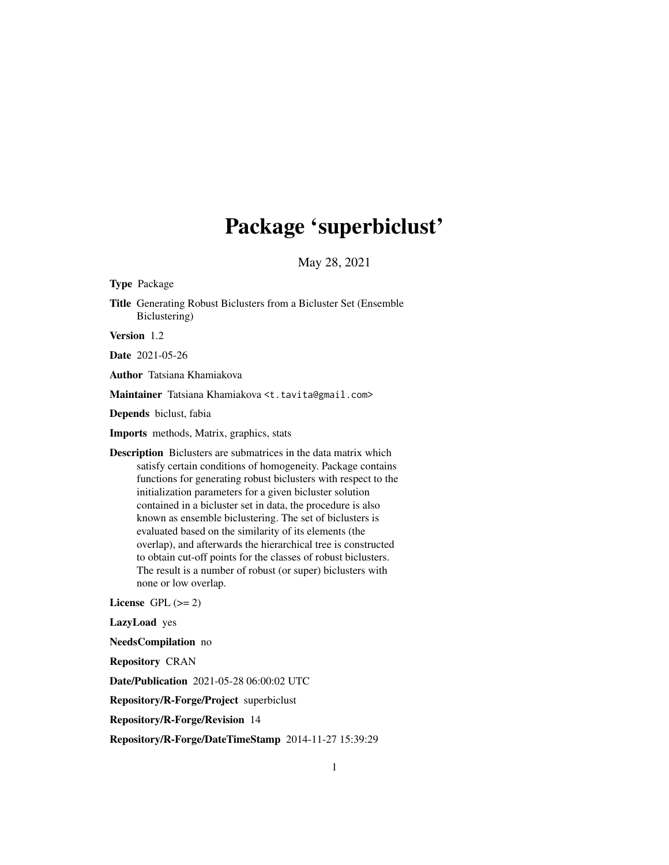# Package 'superbiclust'

May 28, 2021

Type Package

Title Generating Robust Biclusters from a Bicluster Set (Ensemble Biclustering)

Version 1.2

Date 2021-05-26

Author Tatsiana Khamiakova

Maintainer Tatsiana Khamiakova <t.tavita@gmail.com>

Depends biclust, fabia

Imports methods, Matrix, graphics, stats

Description Biclusters are submatrices in the data matrix which satisfy certain conditions of homogeneity. Package contains functions for generating robust biclusters with respect to the initialization parameters for a given bicluster solution contained in a bicluster set in data, the procedure is also known as ensemble biclustering. The set of biclusters is evaluated based on the similarity of its elements (the overlap), and afterwards the hierarchical tree is constructed to obtain cut-off points for the classes of robust biclusters. The result is a number of robust (or super) biclusters with none or low overlap.

License GPL  $(>= 2)$ 

LazyLoad yes

NeedsCompilation no

Repository CRAN

Date/Publication 2021-05-28 06:00:02 UTC

Repository/R-Forge/Project superbiclust

Repository/R-Forge/Revision 14

Repository/R-Forge/DateTimeStamp 2014-11-27 15:39:29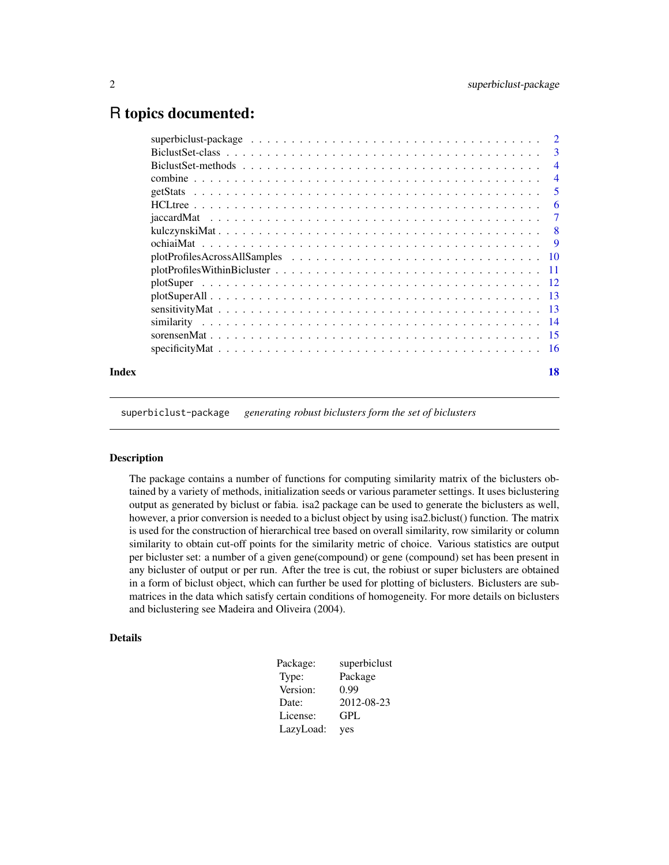# <span id="page-1-0"></span>R topics documented:

|       |                                                                                                                                       | $\overline{\mathbf{3}}$ |
|-------|---------------------------------------------------------------------------------------------------------------------------------------|-------------------------|
|       |                                                                                                                                       | $\overline{4}$          |
|       |                                                                                                                                       | $\overline{4}$          |
|       |                                                                                                                                       | -5                      |
|       |                                                                                                                                       | -6                      |
|       |                                                                                                                                       |                         |
|       |                                                                                                                                       |                         |
|       |                                                                                                                                       |                         |
|       |                                                                                                                                       |                         |
|       | $plotProfiles Within Bicluster \dots \dots \dots \dots \dots \dots \dots \dots \dots \dots \dots \dots \dots \dots \dots \dots \dots$ |                         |
|       |                                                                                                                                       |                         |
|       |                                                                                                                                       |                         |
|       |                                                                                                                                       |                         |
|       |                                                                                                                                       |                         |
|       |                                                                                                                                       |                         |
|       |                                                                                                                                       |                         |
| Index |                                                                                                                                       | 18                      |

superbiclust-package *generating robust biclusters form the set of biclusters*

#### Description

The package contains a number of functions for computing similarity matrix of the biclusters obtained by a variety of methods, initialization seeds or various parameter settings. It uses biclustering output as generated by biclust or fabia. isa2 package can be used to generate the biclusters as well, however, a prior conversion is needed to a biclust object by using isa2.biclust() function. The matrix is used for the construction of hierarchical tree based on overall similarity, row similarity or column similarity to obtain cut-off points for the similarity metric of choice. Various statistics are output per bicluster set: a number of a given gene(compound) or gene (compound) set has been present in any bicluster of output or per run. After the tree is cut, the robiust or super biclusters are obtained in a form of biclust object, which can further be used for plotting of biclusters. Biclusters are submatrices in the data which satisfy certain conditions of homogeneity. For more details on biclusters and biclustering see Madeira and Oliveira (2004).

#### Details

| Package:  | superbiclust |
|-----------|--------------|
| Type:     | Package      |
| Version:  | 0.99         |
| Date:     | 2012-08-23   |
| License:  | GPL          |
| LazyLoad: | yes          |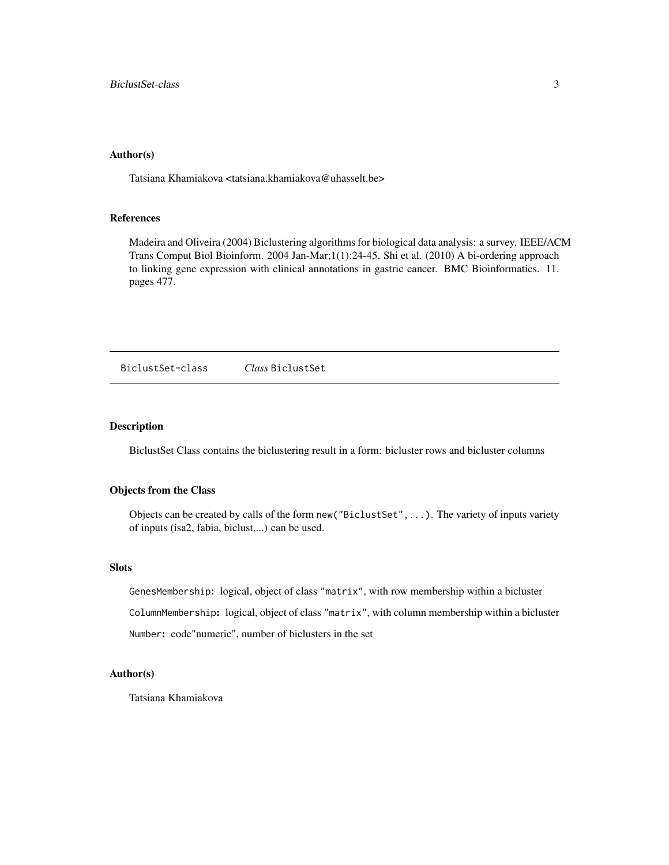#### <span id="page-2-0"></span>Author(s)

Tatsiana Khamiakova <tatsiana.khamiakova@uhasselt.be>

#### References

Madeira and Oliveira (2004) Biclustering algorithms for biological data analysis: a survey. IEEE/ACM Trans Comput Biol Bioinform. 2004 Jan-Mar;1(1):24-45. Shi et al. (2010) A bi-ordering approach to linking gene expression with clinical annotations in gastric cancer. BMC Bioinformatics. 11. pages 477.

<span id="page-2-1"></span>BiclustSet-class *Class* BiclustSet

# Description

BiclustSet Class contains the biclustering result in a form: bicluster rows and bicluster columns

#### Objects from the Class

Objects can be created by calls of the form new("BiclustSet",...). The variety of inputs variety of inputs (isa2, fabia, biclust,...) can be used.

#### Slots

GenesMembership: logical, object of class "matrix", with row membership within a bicluster ColumnMembership: logical, object of class "matrix", with column membership within a bicluster Number: code"numeric", number of biclusters in the set

#### Author(s)

Tatsiana Khamiakova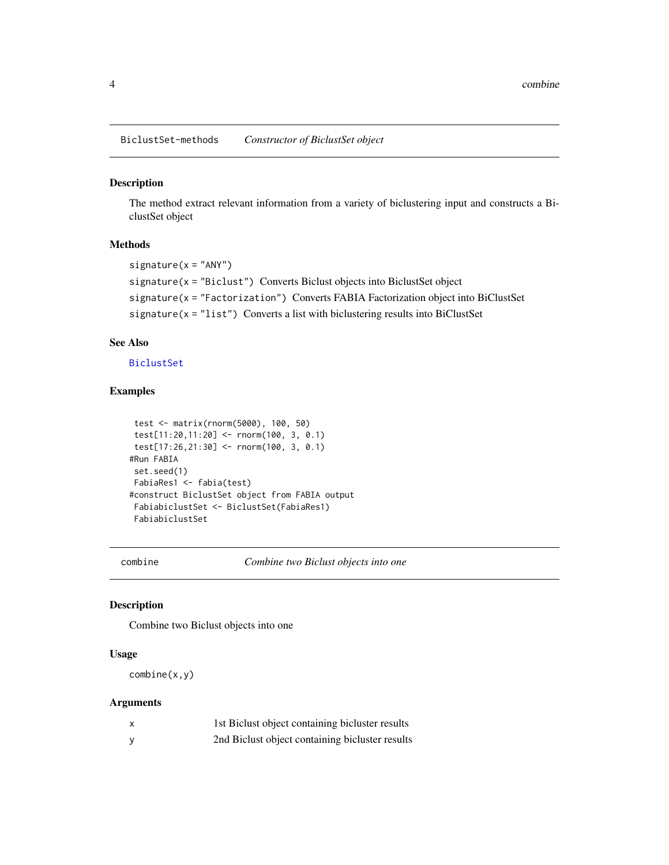<span id="page-3-0"></span>BiclustSet-methods *Constructor of BiclustSet object*

#### Description

The method extract relevant information from a variety of biclustering input and constructs a BiclustSet object

#### Methods

```
signature(x = "ANY")signature(x = "Biclust") Converts Biclust objects into BiclustSet object
signature(x = "Factorization") Converts FABIA Factorization object into BiClustSet
signature(x = "list") Converts a list with biclustering results into BiClustSet
```
# See Also

[BiclustSet](#page-2-1)

#### Examples

```
test <- matrix(rnorm(5000), 100, 50)
test[11:20,11:20] <- rnorm(100, 3, 0.1)
test[17:26,21:30] <- rnorm(100, 3, 0.1)
#Run FABIA
set.seed(1)
FabiaRes1 <- fabia(test)
#construct BiclustSet object from FABIA output
FabiabiclustSet <- BiclustSet(FabiaRes1)
FabiabiclustSet
```
combine *Combine two Biclust objects into one*

#### Description

Combine two Biclust objects into one

# Usage

combine(x,y)

#### Arguments

| x | 1st Biclust object containing bicluster results |
|---|-------------------------------------------------|
|   | 2nd Biclust object containing bicluster results |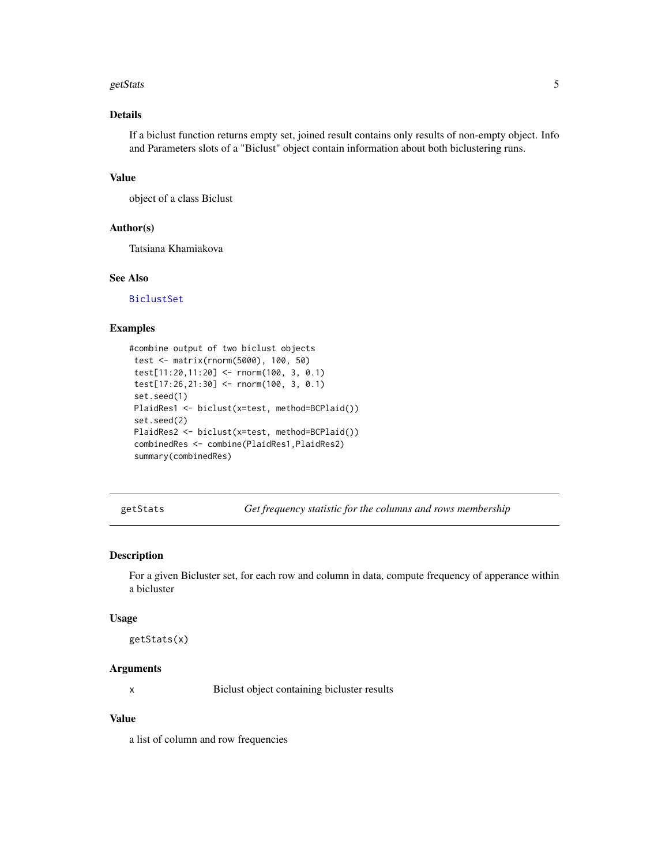#### <span id="page-4-0"></span>getStats 5

# Details

If a biclust function returns empty set, joined result contains only results of non-empty object. Info and Parameters slots of a "Biclust" object contain information about both biclustering runs.

#### Value

object of a class Biclust

# Author(s)

Tatsiana Khamiakova

# See Also

[BiclustSet](#page-2-1)

#### Examples

```
#combine output of two biclust objects
test <- matrix(rnorm(5000), 100, 50)
test[11:20,11:20] <- rnorm(100, 3, 0.1)
test[17:26,21:30] <- rnorm(100, 3, 0.1)
set.seed(1)
PlaidRes1 <- biclust(x=test, method=BCPlaid())
 set.seed(2)
PlaidRes2 <- biclust(x=test, method=BCPlaid())
combinedRes <- combine(PlaidRes1,PlaidRes2)
summary(combinedRes)
```
getStats *Get frequency statistic for the columns and rows membership*

#### Description

For a given Bicluster set, for each row and column in data, compute frequency of apperance within a bicluster

#### Usage

getStats(x)

#### Arguments

x Biclust object containing bicluster results

### Value

a list of column and row frequencies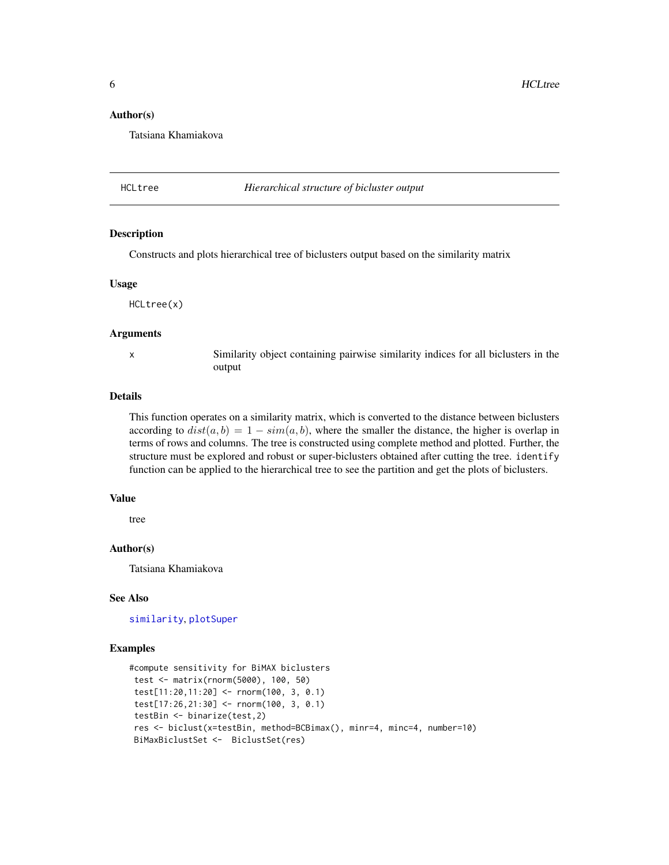#### <span id="page-5-0"></span>Author(s)

Tatsiana Khamiakova

#### <span id="page-5-1"></span>HCLtree *Hierarchical structure of bicluster output*

# Description

Constructs and plots hierarchical tree of biclusters output based on the similarity matrix

#### Usage

HCLtree(x)

#### Arguments

x Similarity object containing pairwise similarity indices for all biclusters in the output

# Details

This function operates on a similarity matrix, which is converted to the distance between biclusters according to  $dist(a, b) = 1 - sim(a, b)$ , where the smaller the distance, the higher is overlap in terms of rows and columns. The tree is constructed using complete method and plotted. Further, the structure must be explored and robust or super-biclusters obtained after cutting the tree. identify function can be applied to the hierarchical tree to see the partition and get the plots of biclusters.

#### Value

tree

#### Author(s)

Tatsiana Khamiakova

#### See Also

[similarity](#page-13-1), [plotSuper](#page-11-1)

#### Examples

```
#compute sensitivity for BiMAX biclusters
test <- matrix(rnorm(5000), 100, 50)
 test[11:20,11:20] <- rnorm(100, 3, 0.1)
 test[17:26,21:30] <- rnorm(100, 3, 0.1)
 testBin <- binarize(test,2)
 res <- biclust(x=testBin, method=BCBimax(), minr=4, minc=4, number=10)
BiMaxBiclustSet <- BiclustSet(res)
```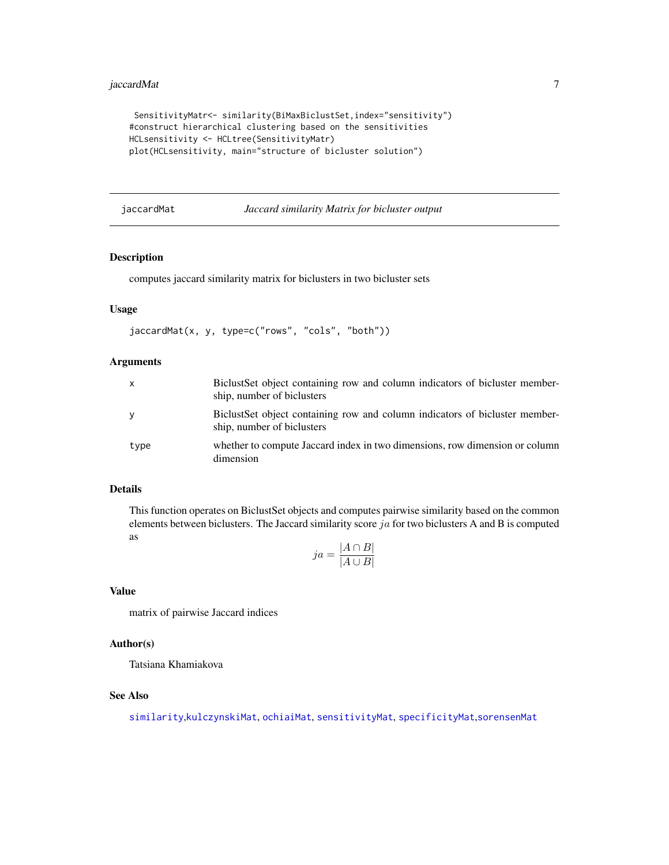# <span id="page-6-0"></span>jaccardMat 7

```
SensitivityMatr<- similarity(BiMaxBiclustSet,index="sensitivity")
#construct hierarchical clustering based on the sensitivities
HCLsensitivity <- HCLtree(SensitivityMatr)
plot(HCLsensitivity, main="structure of bicluster solution")
```
<span id="page-6-1"></span>jaccardMat *Jaccard similarity Matrix for bicluster output*

# Description

computes jaccard similarity matrix for biclusters in two bicluster sets

# Usage

```
jaccardMat(x, y, type=c("rows", "cols", "both"))
```
### Arguments

| $\mathsf{X}$ | Biclust Set object containing row and column indicators of bicluster member-<br>ship, number of biclusters |
|--------------|------------------------------------------------------------------------------------------------------------|
| <b>V</b>     | Biclust Set object containing row and column indicators of bicluster member-<br>ship, number of biclusters |
| type         | whether to compute Jaccard index in two dimensions, row dimension or column<br>dimension                   |

# Details

This function operates on BiclustSet objects and computes pairwise similarity based on the common elements between biclusters. The Jaccard similarity score  $ja$  for two biclusters A and B is computed as

$$
ja = \frac{|A \cap B|}{|A \cup B|}
$$

#### Value

matrix of pairwise Jaccard indices

# Author(s)

Tatsiana Khamiakova

# See Also

[similarity](#page-13-1),[kulczynskiMat](#page-7-1), [ochiaiMat](#page-8-1), [sensitivityMat](#page-12-1), [specificityMat](#page-15-1),[sorensenMat](#page-14-1)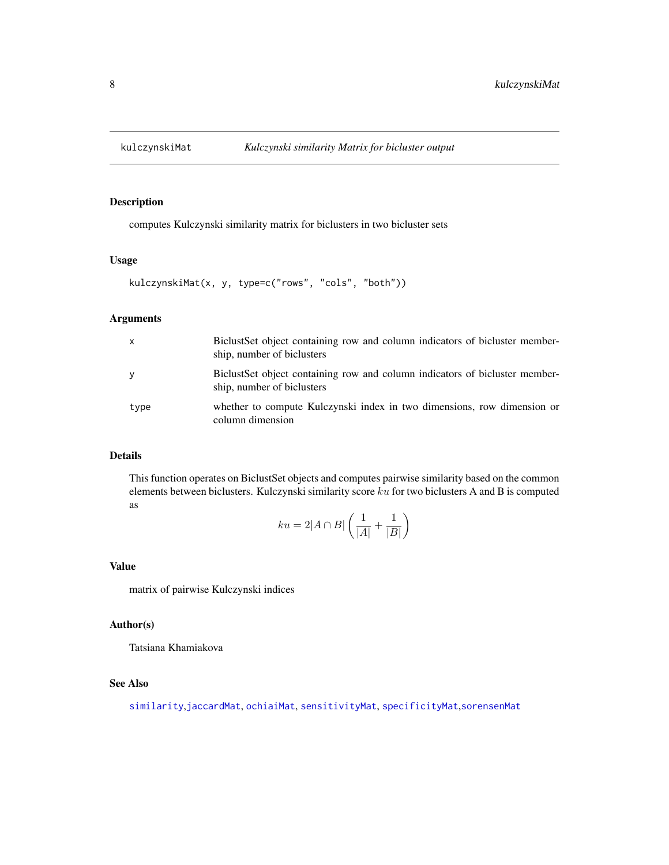<span id="page-7-1"></span><span id="page-7-0"></span>

computes Kulczynski similarity matrix for biclusters in two bicluster sets

### Usage

```
kulczynskiMat(x, y, type=c("rows", "cols", "both"))
```
# Arguments

| X    | Biclust Set object containing row and column indicators of bicluster member-<br>ship, number of biclusters |
|------|------------------------------------------------------------------------------------------------------------|
| y    | Biclust Set object containing row and column indicators of bicluster member-<br>ship, number of biclusters |
| type | whether to compute Kulczynski index in two dimensions, row dimension or<br>column dimension                |

# Details

This function operates on BiclustSet objects and computes pairwise similarity based on the common elements between biclusters. Kulczynski similarity score  $ku$  for two biclusters A and B is computed as

$$
ku = 2|A \cap B| \left( \frac{1}{|A|} + \frac{1}{|B|} \right)
$$

# Value

matrix of pairwise Kulczynski indices

# Author(s)

Tatsiana Khamiakova

# See Also

[similarity](#page-13-1),[jaccardMat](#page-6-1), [ochiaiMat](#page-8-1), [sensitivityMat](#page-12-1), [specificityMat](#page-15-1),[sorensenMat](#page-14-1)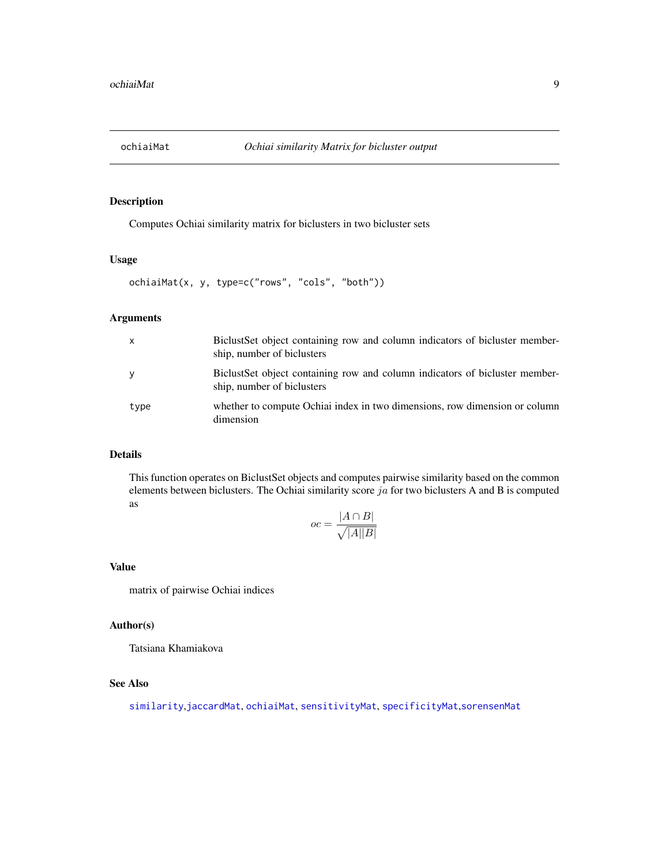<span id="page-8-1"></span><span id="page-8-0"></span>

Computes Ochiai similarity matrix for biclusters in two bicluster sets

### Usage

```
ochiaiMat(x, y, type=c("rows", "cols", "both"))
```
# Arguments

| $\mathsf{x}$ | Biclust Set object containing row and column indicators of bicluster member-<br>ship, number of biclusters |
|--------------|------------------------------------------------------------------------------------------------------------|
| У            | Biclust Set object containing row and column indicators of bicluster member-<br>ship, number of biclusters |
| type         | whether to compute Ochiai index in two dimensions, row dimension or column<br>dimension                    |

#### Details

This function operates on BiclustSet objects and computes pairwise similarity based on the common elements between biclusters. The Ochiai similarity score  $ja$  for two biclusters A and B is computed as

$$
oc = \frac{|A \cap B|}{\sqrt{|A||B|}}
$$

#### Value

matrix of pairwise Ochiai indices

## Author(s)

Tatsiana Khamiakova

# See Also

[similarity](#page-13-1),[jaccardMat](#page-6-1), [ochiaiMat](#page-8-1), [sensitivityMat](#page-12-1), [specificityMat](#page-15-1),[sorensenMat](#page-14-1)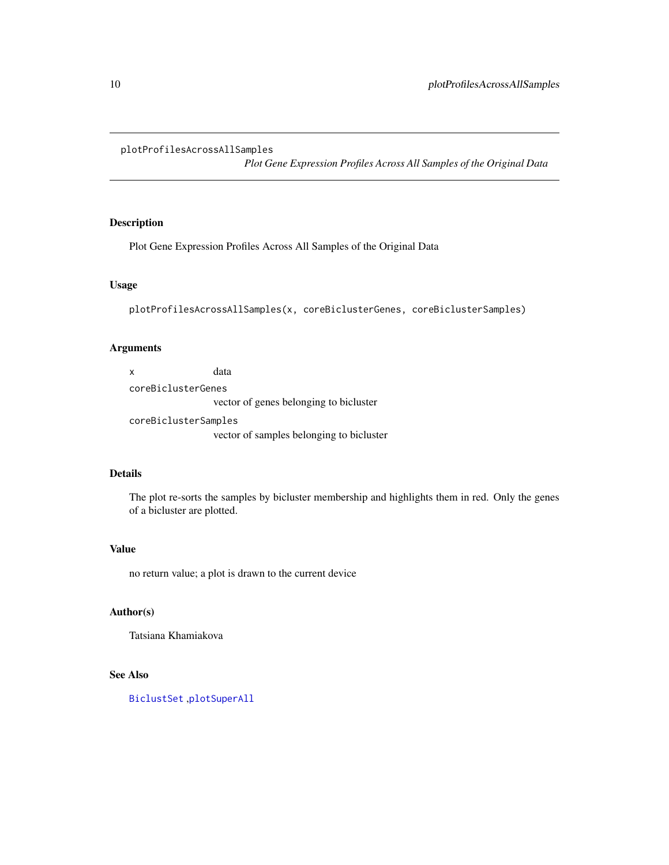#### <span id="page-9-1"></span><span id="page-9-0"></span>plotProfilesAcrossAllSamples

*Plot Gene Expression Profiles Across All Samples of the Original Data*

# Description

Plot Gene Expression Profiles Across All Samples of the Original Data

# Usage

```
plotProfilesAcrossAllSamples(x, coreBiclusterGenes, coreBiclusterSamples)
```
# Arguments

| x                    | data                                     |
|----------------------|------------------------------------------|
| coreBiclusterGenes   |                                          |
|                      | vector of genes belonging to bicluster   |
| coreBiclusterSamples |                                          |
|                      | vector of samples belonging to bicluster |

#### Details

The plot re-sorts the samples by bicluster membership and highlights them in red. Only the genes of a bicluster are plotted.

# Value

no return value; a plot is drawn to the current device

# Author(s)

Tatsiana Khamiakova

# See Also

[BiclustSet](#page-2-1) ,[plotSuperAll](#page-12-2)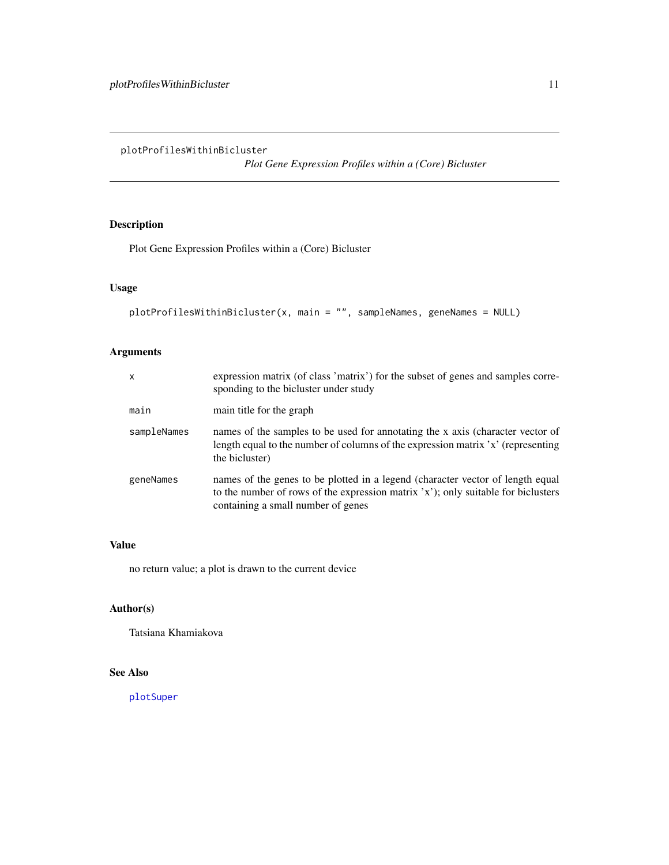<span id="page-10-1"></span><span id="page-10-0"></span>plotProfilesWithinBicluster

*Plot Gene Expression Profiles within a (Core) Bicluster*

# Description

Plot Gene Expression Profiles within a (Core) Bicluster

# Usage

```
plotProfilesWithinBicluster(x, main = "", sampleNames, geneNames = NULL)
```
# Arguments

| x           | expression matrix (of class 'matrix') for the subset of genes and samples corre-<br>sponding to the bicluster under study                                                                                 |
|-------------|-----------------------------------------------------------------------------------------------------------------------------------------------------------------------------------------------------------|
| main        | main title for the graph                                                                                                                                                                                  |
| sampleNames | names of the samples to be used for annotating the x axis (character vector of<br>length equal to the number of columns of the expression matrix 'x' (representing<br>the bicluster)                      |
| geneNames   | names of the genes to be plotted in a legend (character vector of length equal<br>to the number of rows of the expression matrix 'x'); only suitable for biclusters<br>containing a small number of genes |

# Value

no return value; a plot is drawn to the current device

# Author(s)

Tatsiana Khamiakova

#### See Also

[plotSuper](#page-11-1)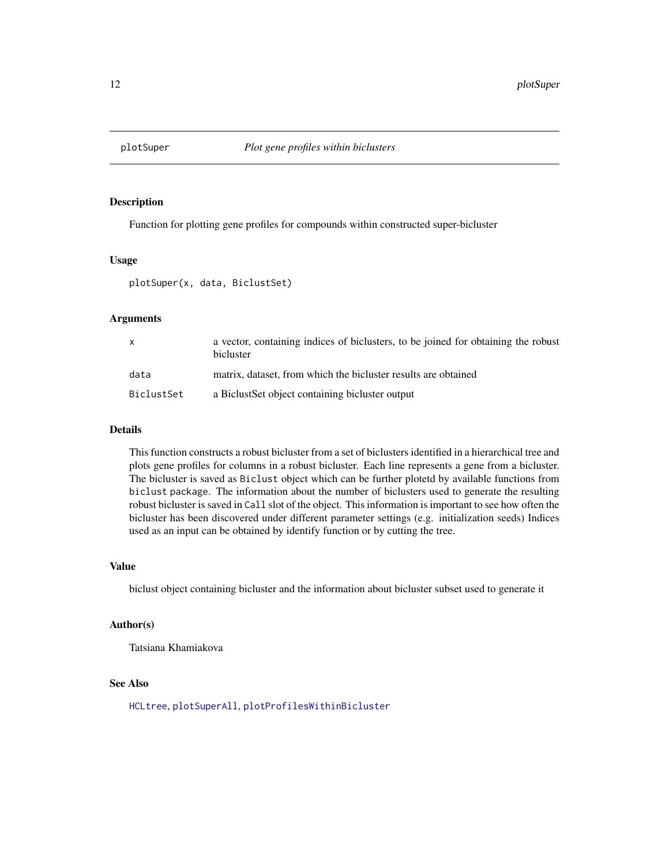<span id="page-11-1"></span><span id="page-11-0"></span>

Function for plotting gene profiles for compounds within constructed super-bicluster

# Usage

plotSuper(x, data, BiclustSet)

# Arguments

| X          | a vector, containing indices of biclusters, to be joined for obtaining the robust<br>bicluster |
|------------|------------------------------------------------------------------------------------------------|
| data       | matrix, dataset, from which the bicluster results are obtained                                 |
| BiclustSet | a Biclust Set object containing bicluster output                                               |

#### Details

This function constructs a robust bicluster from a set of biclusters identified in a hierarchical tree and plots gene profiles for columns in a robust bicluster. Each line represents a gene from a bicluster. The bicluster is saved as Biclust object which can be further plotetd by available functions from biclust package. The information about the number of biclusters used to generate the resulting robust bicluster is saved in Call slot of the object. This information is important to see how often the bicluster has been discovered under different parameter settings (e.g. initialization seeds) Indices used as an input can be obtained by identify function or by cutting the tree.

#### Value

biclust object containing bicluster and the information about bicluster subset used to generate it

#### Author(s)

Tatsiana Khamiakova

# See Also

[HCLtree](#page-5-1), [plotSuperAll](#page-12-2), [plotProfilesWithinBicluster](#page-10-1)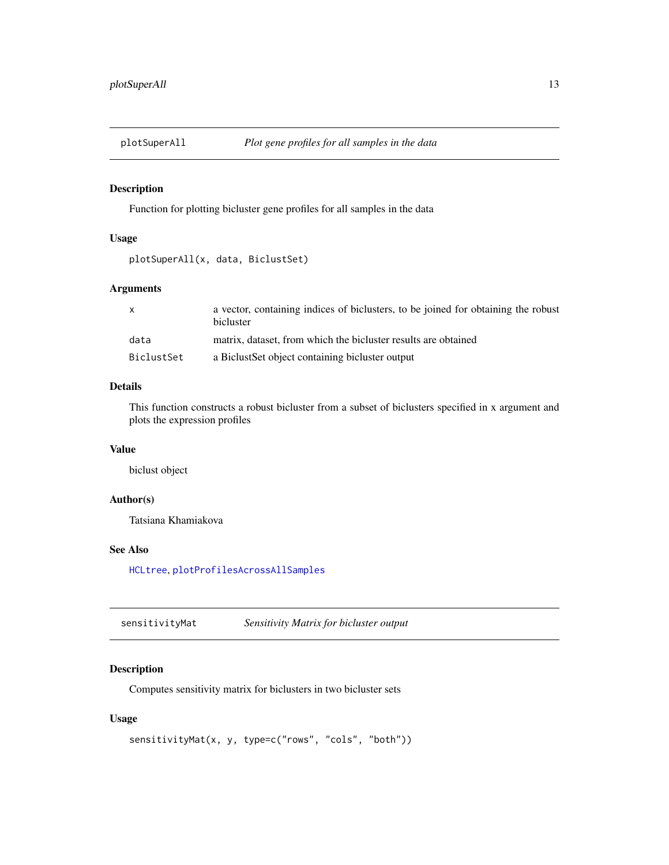<span id="page-12-2"></span><span id="page-12-0"></span>

Function for plotting bicluster gene profiles for all samples in the data

# Usage

```
plotSuperAll(x, data, BiclustSet)
```
# Arguments

| $\mathsf{x}$ | a vector, containing indices of biclusters, to be joined for obtaining the robust<br>bicluster |
|--------------|------------------------------------------------------------------------------------------------|
| data         | matrix, dataset, from which the bicluster results are obtained                                 |
| BiclustSet   | a Biclust Set object containing bicluster output                                               |

# Details

This function constructs a robust bicluster from a subset of biclusters specified in x argument and plots the expression profiles

#### Value

biclust object

# Author(s)

Tatsiana Khamiakova

# See Also

[HCLtree](#page-5-1), [plotProfilesAcrossAllSamples](#page-9-1)

<span id="page-12-1"></span>sensitivityMat *Sensitivity Matrix for bicluster output*

# Description

Computes sensitivity matrix for biclusters in two bicluster sets

# Usage

```
sensitivityMat(x, y, type=c("rows", "cols", "both"))
```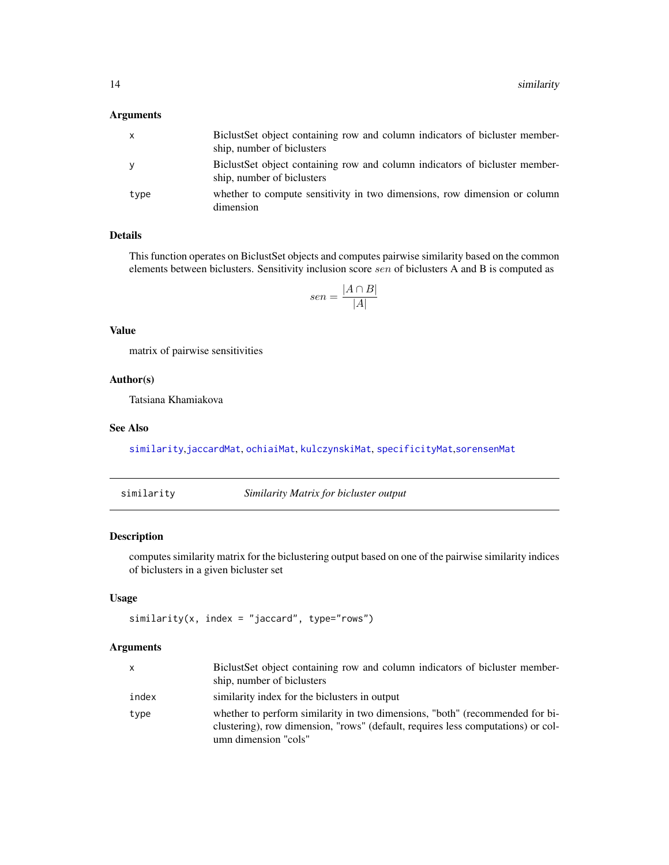# <span id="page-13-0"></span>Arguments

| X    | Biclust Set object containing row and column indicators of bicluster member-<br>ship, number of biclusters |
|------|------------------------------------------------------------------------------------------------------------|
| У    | Biclust Set object containing row and column indicators of bicluster member-<br>ship, number of biclusters |
| type | whether to compute sensitivity in two dimensions, row dimension or column<br>dimension                     |

# Details

This function operates on BiclustSet objects and computes pairwise similarity based on the common elements between biclusters. Sensitivity inclusion score sen of biclusters A and B is computed as

$$
sen = \frac{|A \cap B|}{|A|}
$$

# Value

matrix of pairwise sensitivities

# Author(s)

Tatsiana Khamiakova

#### See Also

[similarity](#page-13-1),[jaccardMat](#page-6-1), [ochiaiMat](#page-8-1), [kulczynskiMat](#page-7-1), [specificityMat](#page-15-1),[sorensenMat](#page-14-1)

<span id="page-13-1"></span>similarity *Similarity Matrix for bicluster output*

# Description

computes similarity matrix for the biclustering output based on one of the pairwise similarity indices of biclusters in a given bicluster set

# Usage

```
similarity(x, index = "jaccard", type="rows")
```
# Arguments

| x     | Biclust Set object containing row and column indicators of bicluster member-<br>ship, number of biclusters                                                                               |
|-------|------------------------------------------------------------------------------------------------------------------------------------------------------------------------------------------|
| index | similarity index for the biclusters in output                                                                                                                                            |
| type  | whether to perform similarity in two dimensions, "both" (recommended for bi-<br>clustering), row dimension, "rows" (default, requires less computations) or col-<br>umn dimension "cols" |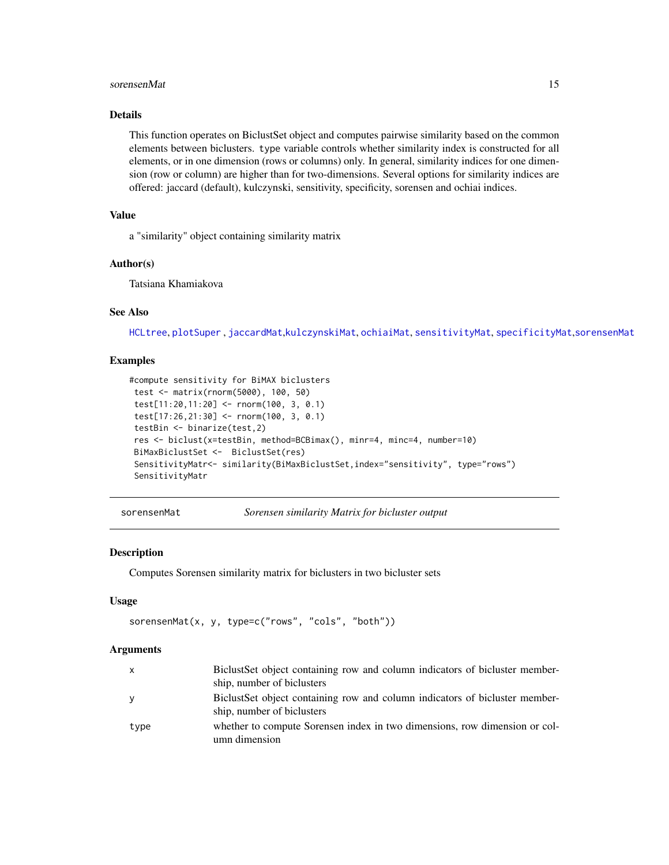#### <span id="page-14-0"></span>sorensenMat 15

# Details

This function operates on BiclustSet object and computes pairwise similarity based on the common elements between biclusters. type variable controls whether similarity index is constructed for all elements, or in one dimension (rows or columns) only. In general, similarity indices for one dimension (row or column) are higher than for two-dimensions. Several options for similarity indices are offered: jaccard (default), kulczynski, sensitivity, specificity, sorensen and ochiai indices.

# Value

a "similarity" object containing similarity matrix

# Author(s)

Tatsiana Khamiakova

# See Also

[HCLtree](#page-5-1), [plotSuper](#page-11-1) , [jaccardMat](#page-6-1),[kulczynskiMat](#page-7-1), [ochiaiMat](#page-8-1), [sensitivityMat](#page-12-1), [specificityMat](#page-15-1),[sorensenMat](#page-14-1)

#### Examples

```
#compute sensitivity for BiMAX biclusters
test <- matrix(rnorm(5000), 100, 50)
test[11:20,11:20] <- rnorm(100, 3, 0.1)
test[17:26,21:30] <- rnorm(100, 3, 0.1)
testBin <- binarize(test,2)
res <- biclust(x=testBin, method=BCBimax(), minr=4, minc=4, number=10)
BiMaxBiclustSet <- BiclustSet(res)
 SensitivityMatr<- similarity(BiMaxBiclustSet,index="sensitivity", type="rows")
 SensitivityMatr
```
<span id="page-14-1"></span>sorensenMat *Sorensen similarity Matrix for bicluster output*

#### **Description**

Computes Sorensen similarity matrix for biclusters in two bicluster sets

#### Usage

```
sorensenMat(x, y, type=c("rows", "cols", "both"))
```
#### Arguments

| X    | BiclustSet object containing row and column indicators of bicluster member-                                |
|------|------------------------------------------------------------------------------------------------------------|
|      | ship, number of biclusters                                                                                 |
| V    | Biclust Set object containing row and column indicators of bicluster member-<br>ship, number of biclusters |
| type | whether to compute Sorensen index in two dimensions, row dimension or col-<br>umn dimension                |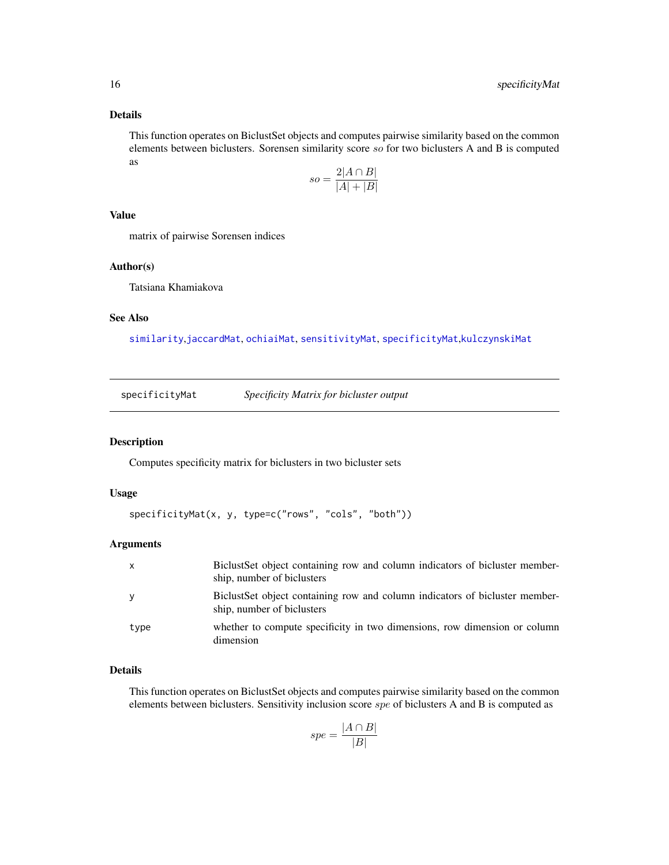# <span id="page-15-0"></span>Details

This function operates on BiclustSet objects and computes pairwise similarity based on the common elements between biclusters. Sorensen similarity score so for two biclusters A and B is computed as

$$
so = \frac{2|A \cap B|}{|A| + |B|}
$$

#### Value

matrix of pairwise Sorensen indices

### Author(s)

Tatsiana Khamiakova

# See Also

[similarity](#page-13-1),[jaccardMat](#page-6-1), [ochiaiMat](#page-8-1), [sensitivityMat](#page-12-1), [specificityMat](#page-15-1),[kulczynskiMat](#page-7-1)

<span id="page-15-1"></span>specificityMat *Specificity Matrix for bicluster output*

# Description

Computes specificity matrix for biclusters in two bicluster sets

# Usage

```
specificityMat(x, y, type=c("rows", "cols", "both"))
```
#### Arguments

| $\mathsf{x}$ | Biclust Set object containing row and column indicators of bicluster member-<br>ship, number of biclusters |
|--------------|------------------------------------------------------------------------------------------------------------|
| <b>V</b>     | Biclust Set object containing row and column indicators of bicluster member-<br>ship, number of biclusters |
| type         | whether to compute specificity in two dimensions, row dimension or column<br>dimension                     |

# Details

This function operates on BiclustSet objects and computes pairwise similarity based on the common elements between biclusters. Sensitivity inclusion score spe of biclusters A and B is computed as

$$
spe = \frac{|A \cap B|}{|B|}
$$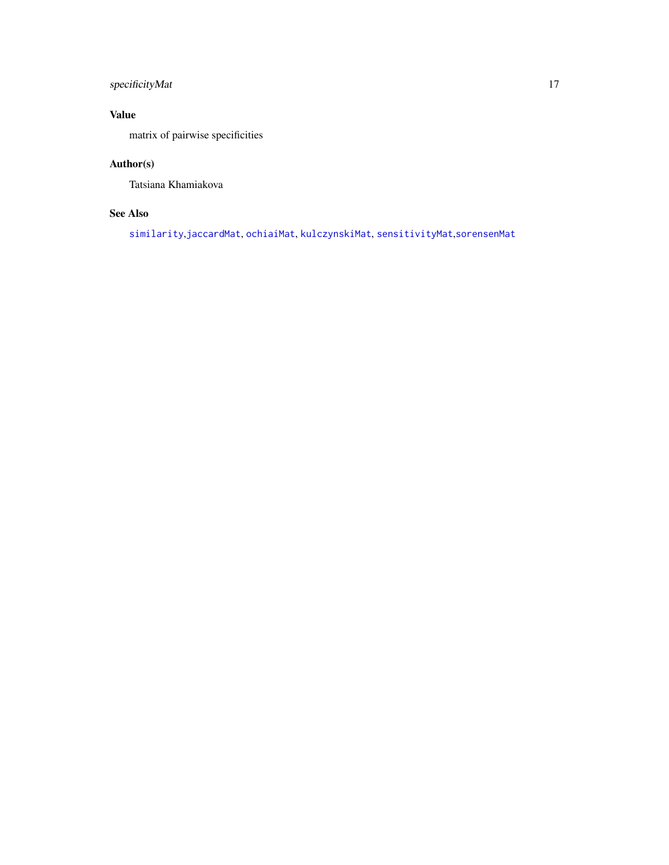# <span id="page-16-0"></span>specificityMat 17

# Value

matrix of pairwise specificities

# Author(s)

Tatsiana Khamiakova

# See Also

[similarity](#page-13-1),[jaccardMat](#page-6-1), [ochiaiMat](#page-8-1), [kulczynskiMat](#page-7-1), [sensitivityMat](#page-12-1),[sorensenMat](#page-14-1)